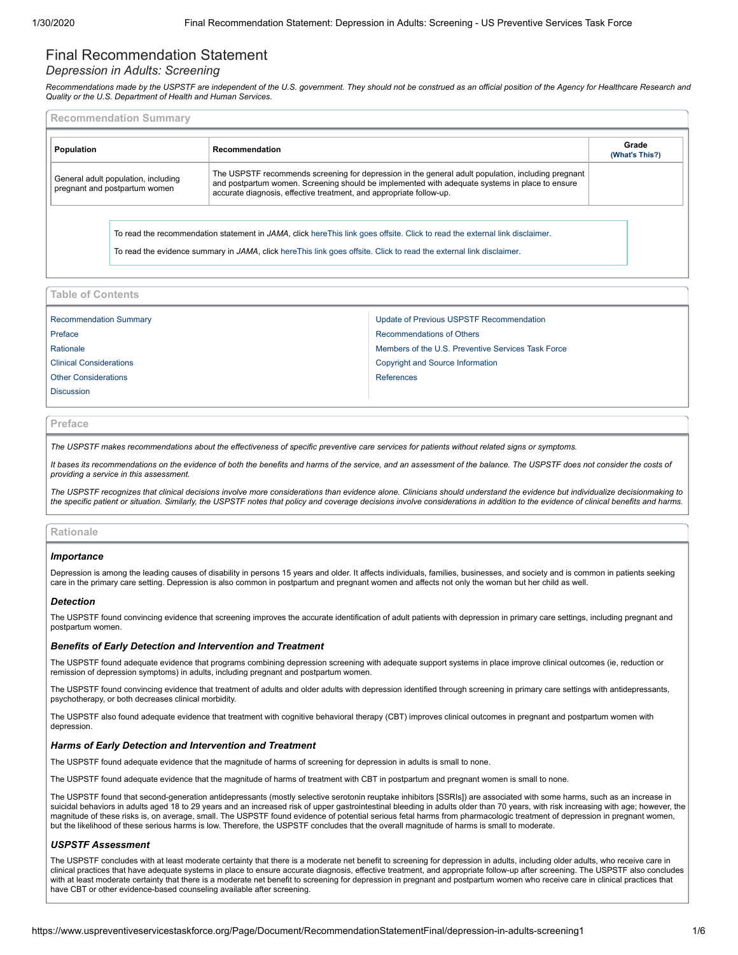# Final Recommendation Statement

# *Depression in Adults: Screening*

Recommendations made by the USPSTF are independent of the U.S. government. They should not be construed as an official position of the Agency for Healthcare Research and<br>Quality or the U.S. Department of Health and Human S

<span id="page-0-0"></span>

| <b>Recommendation Summary</b> |                                                                      |                                                                                                                                                                                                                                                                             |                         |  |
|-------------------------------|----------------------------------------------------------------------|-----------------------------------------------------------------------------------------------------------------------------------------------------------------------------------------------------------------------------------------------------------------------------|-------------------------|--|
|                               | Population                                                           | Recommendation                                                                                                                                                                                                                                                              | Grade<br>(What's This?) |  |
|                               | General adult population, including<br>pregnant and postpartum women | The USPSTF recommends screening for depression in the general adult population, including pregnant<br>and postpartum women. Screening should be implemented with adequate systems in place to ensure<br>accurate diagnosis, effective treatment, and appropriate follow-up. |                         |  |
|                               |                                                                      | To read the recommendation statement in JAMA, click hereThis link goes offsite. Click to read the external link disclaimer.<br>To read the evidence summary in JAMA, click here This link goes offsite. Click to read the external link disclaimer.                         |                         |  |

**Table of Contents**

| <b>Recommendation Summary</b>  | Update of Previous USPSTF Recommendation           |  |
|--------------------------------|----------------------------------------------------|--|
| Preface                        | <b>Recommendations of Others</b>                   |  |
| Rationale                      | Members of the U.S. Preventive Services Task Force |  |
| <b>Clinical Considerations</b> | Copyright and Source Information                   |  |
| <b>Other Considerations</b>    | References                                         |  |
| <b>Discussion</b>              |                                                    |  |
|                                |                                                    |  |

# <span id="page-0-1"></span>**Preface**

*The USPSTF makes recommendations about the effectiveness of specific preventive care services for patients without related signs or symptoms.*

*It bases its recommendations on the evidence of both the benefits and harms of the service, and an assessment of the balance. The USPSTF does not consider the costs of providing a service in this assessment.*

*The USPSTF recognizes that clinical decisions involve more considerations than evidence alone. Clinicians should understand the evidence but individualize decisionmaking to the specific patient or situation. Similarly, the USPSTF notes that policy and coverage decisions involve considerations in addition to the evidence of clinical benefits and harms.*

# <span id="page-0-2"></span>**Rationale**

#### *Importance*

Depression is among the leading causes of disability in persons 15 years and older. It affects individuals, families, businesses, and society and is common in patients seeking care in the primary care setting. Depression is also common in postpartum and pregnant women and affects not only the woman but her child as well.

# *Detection*

The USPSTF found convincing evidence that screening improves the accurate identification of adult patients with depression in primary care settings, including pregnant and postpartum women.

# *Benefits of Early Detection and Intervention and Treatment*

The USPSTF found adequate evidence that programs combining depression screening with adequate support systems in place improve clinical outcomes (ie, reduction or remission of depression symptoms) in adults, including pregnant and postpartum women.

The USPSTF found convincing evidence that treatment of adults and older adults with depression identified through screening in primary care settings with antidepressants, psychotherapy, or both decreases clinical morbidity.

The USPSTF also found adequate evidence that treatment with cognitive behavioral therapy (CBT) improves clinical outcomes in pregnant and postpartum women with depression.

#### *Harms of Early Detection and Intervention and Treatment*

The USPSTF found adequate evidence that the magnitude of harms of screening for depression in adults is small to none.

The USPSTF found adequate evidence that the magnitude of harms of treatment with CBT in postpartum and pregnant women is small to none.

The USPSTF found that second-generation antidepressants (mostly selective serotonin reuptake inhibitors [SSRIs]) are associated with some harms, such as an increase in suicidal behaviors in adults aged 18 to 29 years and an increased risk of upper gastrointestinal bleeding in adults older than 70 years, with risk increasing with age; however, the magnitude of these risks is, on average, small. The USPSTF found evidence of potential serious fetal harms from pharmacologic treatment of depression in pregnant women, but the likelihood of these serious harms is low. Therefore, the USPSTF concludes that the overall magnitude of harms is small to moderate.

# *USPSTF Assessment*

The USPSTF concludes with at least moderate certainty that there is a moderate net benefit to screening for depression in adults, including older adults, who receive care in clinical practices that have adequate systems in place to ensure accurate diagnosis, effective treatment, and appropriate follow-up after screening. The USPSTF also concludes with at least moderate certainty that there is a moderate net benefit to screening for depression in pregnant and postpartum women who receive care in clinical practices that have CBT or other evidence-based counseling available after screening.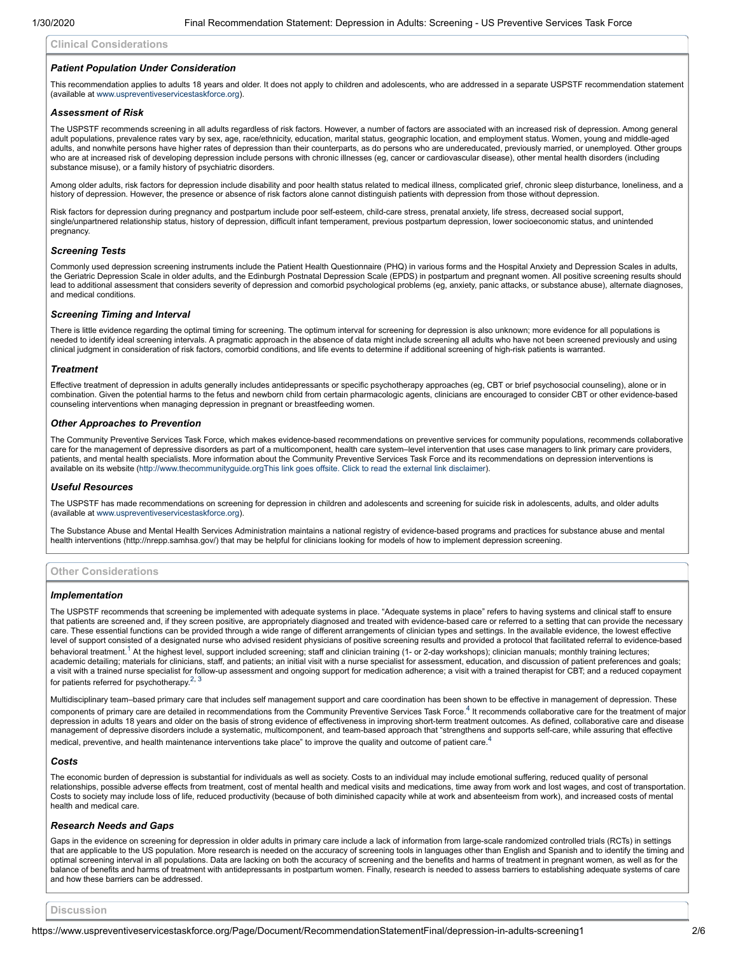#### <span id="page-1-0"></span>**Clinical Considerations**

#### *Patient Population Under Consideration*

This recommendation applies to adults 18 years and older. It does not apply to children and adolescents, who are addressed in a separate USPSTF recommendation statement (available at [www.uspreventiveservicestaskforce.org\)](https://www.uspreventiveservicestaskforce.org/).

#### *Assessment of Risk*

The USPSTF recommends screening in all adults regardless of risk factors. However, a number of factors are associated with an increased risk of depression. Among general adult populations, prevalence rates vary by sex, age, race/ethnicity, education, marital status, geographic location, and employment status. Women, young and middle-aged adults, and nonwhite persons have higher rates of depression than their counterparts, as do persons who are undereducated, previously married, or unemployed. Other groups who are at increased risk of developing depression include persons with chronic illnesses (eg, cancer or cardiovascular disease), other mental health disorders (including substance misuse), or a family history of psychiatric disorders.

Among older adults, risk factors for depression include disability and poor health status related to medical illness, complicated grief, chronic sleep disturbance, loneliness, and a history of depression. However, the presence or absence of risk factors alone cannot distinguish patients with depression from those without depression.

Risk factors for depression during pregnancy and postpartum include poor self-esteem, child-care stress, prenatal anxiety, life stress, decreased social support, single/unpartnered relationship status, history of depression, difficult infant temperament, previous postpartum depression, lower socioeconomic status, and unintended pregnancy.

# *Screening Tests*

Commonly used depression screening instruments include the Patient Health Questionnaire (PHQ) in various forms and the Hospital Anxiety and Depression Scales in adults, the Geriatric Depression Scale in older adults, and the Edinburgh Postnatal Depression Scale (EPDS) in postpartum and pregnant women. All positive screening results should lead to additional assessment that considers severity of depression and comorbid psychological problems (eg, anxiety, panic attacks, or substance abuse), alternate diagnoses, and medical conditions.

### *Screening Timing and Interval*

There is little evidence regarding the optimal timing for screening. The optimum interval for screening for depression is also unknown; more evidence for all populations is needed to identify ideal screening intervals. A pragmatic approach in the absence of data might include screening all adults who have not been screened previously and using clinical judgment in consideration of risk factors, comorbid conditions, and life events to determine if additional screening of high-risk patients is warranted.

#### *Treatment*

Effective treatment of depression in adults generally includes antidepressants or specific psychotherapy approaches (eg, CBT or brief psychosocial counseling), alone or in combination. Given the potential harms to the fetus and newborn child from certain pharmacologic agents, clinicians are encouraged to consider CBT or other evidence-based counseling interventions when managing depression in pregnant or breastfeeding women.

# *Other Approaches to Prevention*

The Community Preventive Services Task Force, which makes evidence-based recommendations on preventive services for community populations, recommends collaborative care for the management of depressive disorders as part of a multicomponent, health care system–level intervention that uses case managers to link primary care providers, patients, and mental health specialists. More information about the Community Preventive Services Task Force and its recommendations on depression interventions is available on its website ([http://www.thecommunityguide.org](http://www.thecommunityguide.org/)[This link goes offsite. Click to read the external link disclaimer\)](https://www.uspreventiveservicestaskforce.org/Page/Name/exit-disclaimer).

# *Useful Resources*

The USPSTF has made recommendations on screening for depression in children and adolescents and screening for suicide risk in adolescents, adults, and older adults (available at [www.uspreventiveservicestaskforce.org\)](https://www.uspreventiveservicestaskforce.org/).

The Substance Abuse and Mental Health Services Administration maintains a national registry of evidence-based programs and practices for substance abuse and mental health interventions (http://nrepp.samhsa.gov/) that may be helpful for clinicians looking for models of how to implement depression screening.

# <span id="page-1-1"></span>**Other Considerations**

# *Implementation*

The USPSTF recommends that screening be implemented with adequate systems in place. "Adequate systems in place" refers to having systems and clinical staff to ensure that patients are screened and, if they screen positive, are appropriately diagnosed and treated with evidence-based care or referred to a setting that can provide the necessary care. These essential functions can be provided through a wide range of different arrangements of clinician types and settings. In the available evidence, the lowest effective level of support consisted of a designated nurse who advised resident physicians of positive screening results and provided a protocol that facilitated referral to evidence-based behavioral treatment.<sup>[1](#page-5-1)</sup> At the highest level, support included screening; staff and clinician training (1- or 2-day workshops); clinician manuals; monthly training lectures; academic detailing; materials for clinicians, staff, and patients; an initial visit with a nurse specialist for assessment, education, and discussion of patient preferences and goals; a visit with a trained nurse specialist for follow-up assessment and ongoing support for medication adherence; a visit with a trained therapist for CBT; and a reduced copayment for patients referred for psychotherapy. $^{2, \, 3}$  $^{2, \, 3}$  $^{2, \, 3}$  $^{2, \, 3}$  $^{2, \, 3}$ 

Multidisciplinary team–based primary care that includes self management support and care coordination has been shown to be effective in management of depression. These components of primary care are detailed in recommendations from the Community Preventive Services Task Force.<sup>[4](#page-5-1)</sup> It recommends collaborative care for the treatment of major depression in adults 18 years and older on the basis of strong evidence of effectiveness in improving short-term treatment outcomes. As defined, collaborative care and disease management of depressive disorders include a systematic, multicomponent, and team-based approach that "strengthens and supports self-care, while assuring that effective medical, preventive, and health maintenance interventions take place" to improve the quality and outcome of patient care.<sup>[4](#page-5-1)</sup>

#### *Costs*

The economic burden of depression is substantial for individuals as well as society. Costs to an individual may include emotional suffering, reduced quality of personal relationships, possible adverse effects from treatment, cost of mental health and medical visits and medications, time away from work and lost wages, and cost of transportation. Costs to society may include loss of life, reduced productivity (because of both diminished capacity while at work and absenteeism from work), and increased costs of mental health and medical care.

#### *Research Needs and Gaps*

Gaps in the evidence on screening for depression in older adults in primary care include a lack of information from large-scale randomized controlled trials (RCTs) in settings that are applicable to the US population. More research is needed on the accuracy of screening tools in languages other than English and Spanish and to identify the timing and<br>optimal screening interval in all populations. balance of benefits and harms of treatment with antidepressants in postpartum women. Finally, research is needed to assess barriers to establishing adequate systems of care and how these barriers can be addressed.

<span id="page-1-2"></span>**Discussion**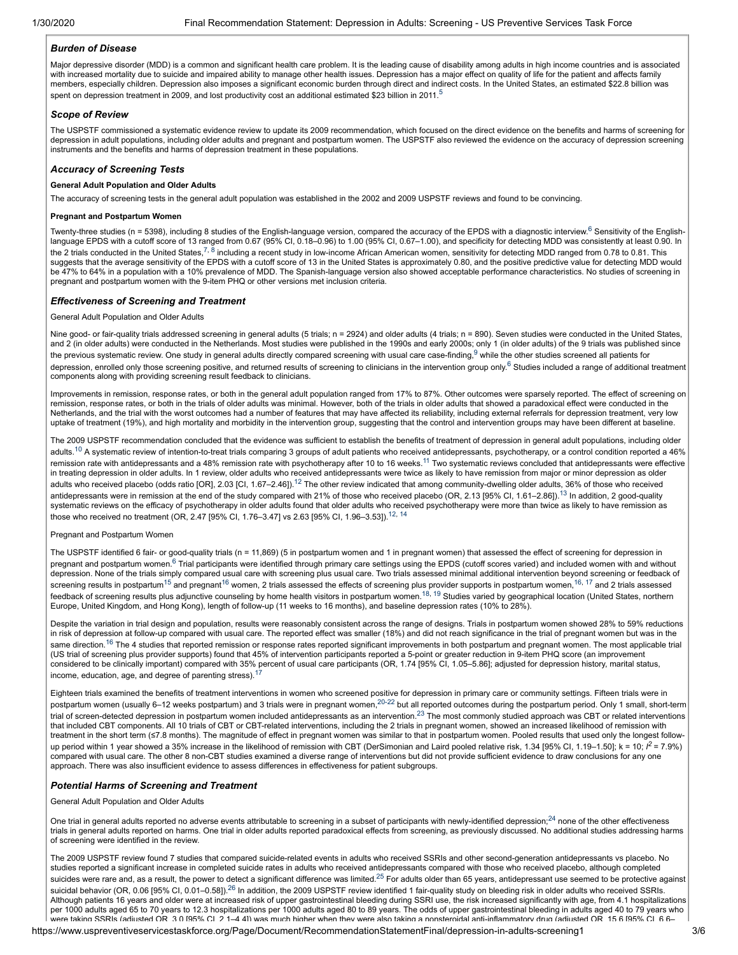# *Burden of Disease*

Major depressive disorder (MDD) is a common and significant health care problem. It is the leading cause of disability among adults in high income countries and is associated with increased mortality due to suicide and impaired ability to manage other health issues. Depression has a major effect on quality of life for the patient and affects family members, especially children. Depression also imposes a significant economic burden through direct and indirect costs. In the United States, an estimated \$22.8 billion was spent on depression treatment in 2009, and lost productivity cost an additional estimated \$23 billion in 2011.<sup>[5](#page-5-1)</sup>

# *Scope of Review*

The USPSTF commissioned a systematic evidence review to update its 2009 recommendation, which focused on the direct evidence on the benefits and harms of screening for depression in adult populations, including older adults and pregnant and postpartum women. The USPSTF also reviewed the evidence on the accuracy of depression screening instruments and the benefits and harms of depression treatment in these populations.

# *Accuracy of Screening Tests*

# **General Adult Population and Older Adults**

The accuracy of screening tests in the general adult population was established in the 2002 and 2009 USPSTF reviews and found to be convincing.

#### **Pregnant and Postpartum Women**

Twenty-three studies (n = 5398), including 8 studies of the English-language version, compared the accuracy of the EPDS with a diagnostic interview.<sup>[6](#page-5-1)</sup> Sensitivity of the Englishlanguage EPDS with a cutoff score of 13 ranged from 0.67 (95% CI, 0.18–0.96) to 1.00 (95% CI, 0.67–1.00), and specificity for detecting MDD was consistently at least 0.90. In the 2 trials conducted in the United States,<sup>[7](#page-5-1), [8](#page-5-1)</sup> including a recent study in low-income African American women, sensitivity for detecting MDD ranged from 0.78 to 0.81. This<br>suggests that the average sensitivity of the EP be 47% to 64% in a population with a 10% prevalence of MDD. The Spanish-language version also showed acceptable performance characteristics. No studies of screening in pregnant and postpartum women with the 9-item PHQ or other versions met inclusion criteria.

#### *Effectiveness of Screening and Treatment*

# General Adult Population and Older Adults

Nine good- or fair-quality trials addressed screening in general adults (5 trials; n = 2924) and older adults (4 trials; n = 890). Seven studies were conducted in the United States, and 2 (in older adults) were conducted in the Netherlands. Most studies were published in the 1990s and early 2000s; only 1 (in older adults) of the 9 trials was published since the previous systematic review. One study in general adults directly compared screening with usual care case-finding,<sup>[9](#page-5-1)</sup> while the other studies screened all patients for depression, enrolled only those screening positive, and returned results of screening to clinicians in the intervention group only.<sup>[6](#page-5-1)</sup> Studies included a range of additional treatment components along with providing screening result feedback to clinicians.

Improvements in remission, response rates, or both in the general adult population ranged from 17% to 87%. Other outcomes were sparsely reported. The effect of screening on remission, response rates, or both in the trials of older adults was minimal. However, both of the trials in older adults that showed a paradoxical effect were conducted in the Netherlands, and the trial with the worst outcomes had a number of features that may have affected its reliability, including external referrals for depression treatment, very low uptake of treatment (19%), and high mortality and morbidity in the intervention group, suggesting that the control and intervention groups may have been different at baseline.

The 2009 USPSTF recommendation concluded that the evidence was sufficient to establish the benefits of treatment of depression in general adult populations, including older adults.<sup>[10](#page-5-1)</sup> A systematic review of intention-to-treat trials comparing 3 groups of adult patients who received antidepressants, psychotherapy, or a control condition reported a 46% remission rate with antidepressants and a 48% remission rate with psychotherapy after 10 to 16 weeks.<sup>[11](#page-5-1)</sup> Two systematic reviews concluded that antidepressants were effective in treating depression in older adults. In 1 review, older adults who received antidepressants were twice as likely to have remission from major or minor depression as older adults who received placebo (odds ratio [OR], 2.03 [CI, 1.67-2.46]).<sup>[12](#page-5-1)</sup> The other review indicated that among community-dwelling older adults, 36% of those who received antidepressants were in remission at the end of the study compared with 21% of those who received placebo (OR, 2.[13](#page-5-1) [95% CI, 1.61–2.86]).<sup>13</sup> In addition, 2 good-quality systematic reviews on the efficacy of psychotherapy in older adults found that older adults who received psychotherapy were more than twice as likely to have remission as those who received no treatment (OR, 2.47 [95% CI, 1.76-3.47] vs 2.63 [95% CI, 1.96-3.53]).<sup>[12,](#page-5-1) [14](#page-5-1)</sup>

#### Pregnant and Postpartum Women

The USPSTF identified 6 fair- or good-quality trials (n = 11,869) (5 in postpartum women and 1 in pregnant women) that assessed the effect of screening for depression in pregnant and postpartum women.<sup>[6](#page-5-1)</sup> Trial participants were identified through primary care settings using the EPDS (cutoff scores varied) and included women with and without depression. None of the trials simply compared usual care with screening plus usual care. Two trials assessed minimal additional intervention beyond screening or feedback of screening results in postpartum<sup>[15](#page-5-1)</sup> and pregnant<sup>[16](#page-5-1)</sup> women, 2 trials assessed the effects of screening plus provider supports in postpartum women,<sup>[16,](#page-5-1) [17](#page-5-1)</sup> and 2 trials assessed feedback of screening results plus adjunctive counseling by home health visitors in postpartum women.<sup>[18](#page-5-1), [19](#page-5-1)</sup> Studies varied by geographical location (United States, northern Europe, United Kingdom, and Hong Kong), length of follow-up (11 weeks to 16 months), and baseline depression rates (10% to 28%).

Despite the variation in trial design and population, results were reasonably consistent across the range of designs. Trials in postpartum women showed 28% to 59% reductions in risk of depression at follow-up compared with usual care. The reported effect was smaller (18%) and did not reach significance in the trial of pregnant women but was in the same direction.<sup>[16](#page-5-1)</sup> The 4 studies that reported remission or response rates reported significant improvements in both postpartum and pregnant women. The most applicable trial (US trial of screening plus provider supports) found that 45% of intervention participants reported a 5-point or greater reduction in 9-item PHQ score (an improvement considered to be clinically important) compared with 35% percent of usual care participants (OR, 1.74 [95% CI, 1.05–5.86]; adjusted for depression history, marital status, income, education, age, and degree of parenting stress).<sup>[17](#page-5-1)</sup>

Eighteen trials examined the benefits of treatment interventions in women who screened positive for depression in primary care or community settings. Fifteen trials were in postpartum women (usually 6-12 weeks postpartum) and 3 trials were in pregnant women,<sup>[20-22](#page-5-1)</sup> but all reported outcomes during the postpartum period. Only 1 small, short-term trial of screen-detected depression in postpartum women included antidepressants as an intervention.<sup>[23](#page-5-1)</sup> The most commonly studied approach was CBT or related interventions that included CBT components. All 10 trials of CBT or CBT-related interventions, including the 2 trials in pregnant women, showed an increased likelihood of remission with treatment in the short term (≤7.8 months). The magnitude of effect in pregnant women was similar to that in postpartum women. Pooled results that used only the longest followup period within 1 year showed a 35% increase in the likelihood of remission with CBT (DerSimonian and Laird pooled relative risk, 1.34 [95% CI, 1.19–1.50]; k = 10; *I2* = 7.9%) compared with usual care. The other 8 non-CBT studies examined a diverse range of interventions but did not provide sufficient evidence to draw conclusions for any one approach. There was also insufficient evidence to assess differences in effectiveness for patient subgroups.

# *Potential Harms of Screening and Treatment*

General Adult Population and Older Adults

One trial in general adults reported no adverse events attributable to screening in a subset of participants with newly-identified depression; $^{24}$  $^{24}$  $^{24}$  none of the other effectiveness trials in general adults reported on harms. One trial in older adults reported paradoxical effects from screening, as previously discussed. No additional studies addressing harms of screening were identified in the review.

The 2009 USPSTF review found 7 studies that compared suicide-related events in adults who received SSRIs and other second-generation antidepressants vs placebo. No studies reported a significant increase in completed suicide rates in adults who received antidepressants compared with those who received placebo, although completed suicides were rare and, as a result, the power to detect a significant difference was limited.<sup>[25](#page-5-1)</sup> For adults older than 65 years, antidepressant use seemed to be protective against suicidal behavior (OR, 0.06 [95% CI, 0.01–0.58]).<sup>[26](#page-5-1)</sup> In addition, the 2009 USPSTF review identified 1 fair-quality study on bleeding risk in older adults who received SSRIs. Although patients 16 years and older were at increased risk of upper gastrointestinal bleeding during SSRI use, the risk increased significantly with age, from 4.1 hospitalizations per 1000 adults aged 65 to 70 years to 12.3 hospitalizations per 1000 adults aged 80 to 89 years. The odds of upper gastrointestinal bleeding in adults aged 40 to 79 years who were taking SSRIs (adjusted OR 3 0 [95% CI 2 1–4 4]) was much higher when they were also taking a nonsteroidal anti-inflammatory drug (adjusted OR 15 6 [95% CI 6 6–

https://www.uspreventiveservicestaskforce.org/Page/Document/RecommendationStatementFinal/depression-in-adults-screening1 3/6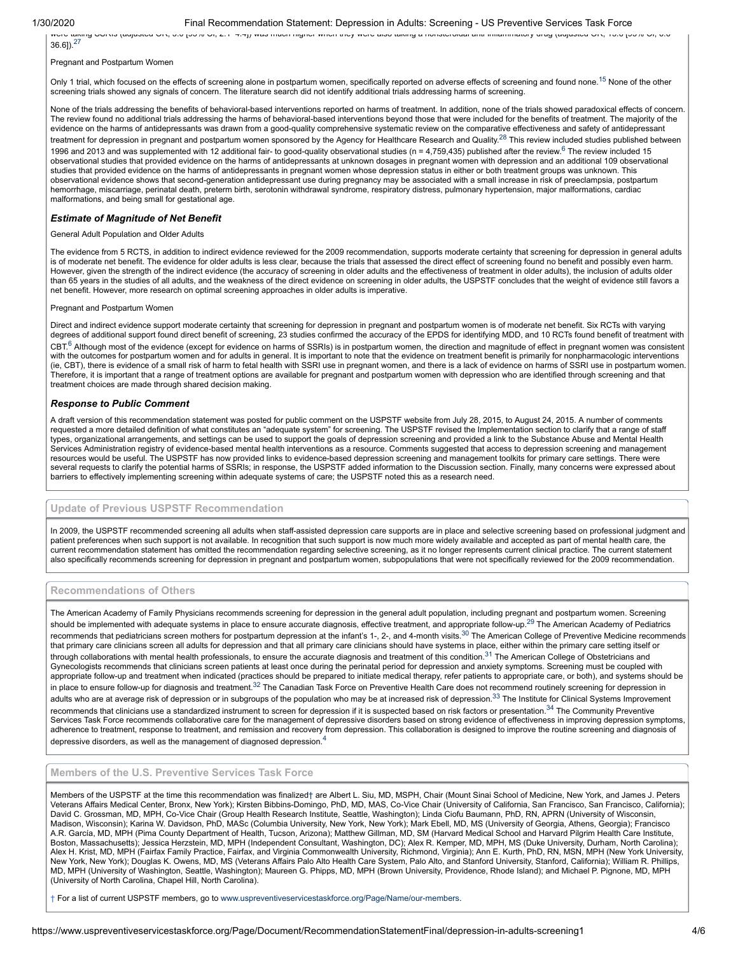#### 1/30/2020 Final Recommendation Statement: Depression in Adults: Screening - US Preventive Services Task Force

were taking SSRIs (adjusted OR, 5.0 [95% CI, 2.1 -1.4]) was much migher when they were also taking a nonsteroidal anti inflammatory drug (adjusted OR, 15.6 [95% CI, 6.6 ]

36.6]).[27](#page-5-1)

Pregnant and Postpartum Women

Only 1 trial, which focused on the effects of screening alone in postpartum women, specifically reported on adverse effects of screening and found none.<sup>[15](#page-5-1)</sup> None of the other screening trials showed any signals of concern. The literature search did not identify additional trials addressing harms of screening.

None of the trials addressing the benefits of behavioral-based interventions reported on harms of treatment. In addition, none of the trials showed paradoxical effects of concern. The review found no additional trials addressing the harms of behavioral-based interventions beyond those that were included for the benefits of treatment. The majority of the evidence on the harms of antidepressants was drawn from a good-quality comprehensive systematic review on the comparative effectiveness and safety of antidepressant treatment for depression in pregnant and postpartum women sponsored by the Agency for Healthcare Research and Quality.<sup>[28](#page-5-1)</sup> This review included studies published between 199[6](#page-5-1) and 2013 and was supplemented with 12 additional fair- to good-quality observational studies (n = 4,759,435) published after the review.<sup>6</sup> The review included 15 observational studies that provided evidence on the harms of antidepressants at unknown dosages in pregnant women with depression and an additional 109 observational studies that provided evidence on the harms of antidepressants in pregnant women whose depression status in either or both treatment groups was unknown. This observational evidence shows that second-generation antidepressant use during pregnancy may be associated with a small increase in risk of preeclampsia, postpartum hemorrhage, miscarriage, perinatal death, preterm birth, serotonin withdrawal syndrome, respiratory distress, pulmonary hypertension, major malformations, cardiac malformations, and being small for gestational age.

# *Estimate of Magnitude of Net Benefit*

General Adult Population and Older Adults

The evidence from 5 RCTS, in addition to indirect evidence reviewed for the 2009 recommendation, supports moderate certainty that screening for depression in general adults is of moderate net benefit. The evidence for older adults is less clear, because the trials that assessed the direct effect of screening found no benefit and possibly even harm. However, given the strength of the indirect evidence (the accuracy of screening in older adults and the effectiveness of treatment in older adults), the inclusion of adults older than 65 years in the studies of all adults, and the weakness of the direct evidence on screening in older adults, the USPSTF concludes that the weight of evidence still favors a net benefit. However, more research on optimal screening approaches in older adults is imperative.

Pregnant and Postpartum Women

Direct and indirect evidence support moderate certainty that screening for depression in pregnant and postpartum women is of moderate net benefit. Six RCTs with varying degrees of additional support found direct benefit of screening, 23 studies confirmed the accuracy of the EPDS for identifying MDD, and 10 RCTs found benefit of treatment with  $\mathsf{CBT}^6$  $\mathsf{CBT}^6$  Although most of the evidence (except for evidence on harms of SSRIs) is in postpartum women, the direction and magnitude of effect in pregnant women was consistent with the outcomes for postpartum women and for adults in general. It is important to note that the evidence on treatment benefit is primarily for nonpharmacologic interventions (ie, CBT), there is evidence of a small risk of harm to fetal health with SSRI use in pregnant women, and there is a lack of evidence on harms of SSRI use in postpartum women. Therefore, it is important that a range of treatment options are available for pregnant and postpartum women with depression who are identified through screening and that treatment choices are made through shared decision making.

#### *Response to Public Comment*

A draft version of this recommendation statement was posted for public comment on the USPSTF website from July 28, 2015, to August 24, 2015. A number of comments requested a more detailed definition of what constitutes an "adequate system" for screening. The USPSTF revised the Implementation section to clarify that a range of staff types, organizational arrangements, and settings can be used to support the goals of depression screening and provided a link to the Substance Abuse and Mental Health Services Administration registry of evidence-based mental health interventions as a resource. Comments suggested that access to depression screening and management resources would be useful. The USPSTF has now provided links to evidence-based depression screening and management toolkits for primary care settings. There were several requests to clarify the potential harms of SSRIs; in response, the USPSTF added information to the Discussion section. Finally, many concerns were expressed about barriers to effectively implementing screening within adequate systems of care; the USPSTF noted this as a research need.

# <span id="page-3-0"></span>**Update of Previous USPSTF Recommendation**

In 2009, the USPSTF recommended screening all adults when staff-assisted depression care supports are in place and selective screening based on professional judgment and patient preferences when such support is not available. In recognition that such support is now much more widely available and accepted as part of mental health care, the current recommendation statement has omitted the recommendation regarding selective screening, as it no longer represents current clinical practice. The current statement also specifically recommends screening for depression in pregnant and postpartum women, subpopulations that were not specifically reviewed for the 2009 recommendation.

# <span id="page-3-1"></span>**Recommendations of Others**

The American Academy of Family Physicians recommends screening for depression in the general adult population, including pregnant and postpartum women. Screening should be implemented with adequate systems in place to ensure accurate diagnosis, effective treatment, and appropriate follow-up.<sup>[29](#page-5-1)</sup> The American Academy of Pediatrics recommends that pediatricians screen mothers for postpartum depression at the infant's 1-, 2-, and 4-month visits.<sup>[30](#page-5-1)</sup> The American College of Preventive Medicine recommends that primary care clinicians screen all adults for depression and that all primary care clinicians should have systems in place, either within the primary care setting itself or through collaborations with mental health professionals, to ensure the accurate diagnosis and treatment of this condition.<sup>[31](#page-5-1)</sup> The American College of Obstetricians and Gynecologists recommends that clinicians screen patients at least once during the perinatal period for depression and anxiety symptoms. Screening must be coupled with appropriate follow-up and treatment when indicated (practices should be prepared to initiate medical therapy, refer patients to appropriate care, or both), and systems should be in place to ensure follow-up for diagnosis and treatment.<sup>[32](#page-5-1)</sup> The Canadian Task Force on Preventive Health Care does not recommend routinely screening for depression in adults who are at average risk of depression or in subgroups of the population who may be at increased risk of depression.<sup>[33](#page-5-1)</sup> The Institute for Clinical Systems Improvement recommends that clinicians use a standardized instrument to screen for depression if it is suspected based on risk factors or presentation.<sup>[34](#page-5-1)</sup> The Community Preventive Services Task Force recommends collaborative care for the management of depressive disorders based on strong evidence of effectiveness in improving depression symptoms, adherence to treatment, response to treatment, and remission and recovery from depression. This collaboration is designed to improve the routine screening and diagnosis of depressive disorders, as well as the management of diagnosed depression.<sup>[4](#page-5-1)</sup>

# <span id="page-3-2"></span>**Members of the U.S. Preventive Services Task Force**

Members of the USPSTF at the time this recommendation was finalized[†](#page-3-3) are Albert L. Siu, MD, MSPH, Chair (Mount Sinai School of Medicine, New York, and James J. Peters Veterans Affairs Medical Center, Bronx, New York); Kirsten Bibbins-Domingo, PhD, MD, MAS, Co-Vice Chair (University of California, San Francisco, San Francisco, California); David C. Grossman, MD, MPH, Co-Vice Chair (Group Health Research Institute, Seattle, Washington); Linda Ciofu Baumann, PhD, RN, APRN (University of Wisconsin, Madison, Wisconsin); Karina W. Davidson, PhD, MASc (Columbia University, New York, New York); Mark Ebell, MD, MS (University of Georgia, Athens, Georgia); Francisco A.R. García, MD, MPH (Pima County Department of Health, Tucson, Arizona); Matthew Gillman, MD, SM (Harvard Medical School and Harvard Pilgrim Health Care Institute, Boston, Massachusetts); Jessica Herzstein, MD, MPH (Independent Consultant, Washington, DC); Alex R. Kemper, MD, MPH, MS (Duke University, Durham, North Carolina); Alex H. Krist, MD, MPH (Fairfax Family Practice, Fairfax, and Virginia Commonwealth University, Richmond, Virginia); Ann E. Kurth, PhD, RN, MSN, MPH (New York University, New York, New York); Douglas K. Owens, MD, MS (Veterans Affairs Palo Alto Health Care System, Palo Alto, and Stanford University, Stanford, California); William R. Phillips, MD, MPH (University of Washington, Seattle, Washington); Maureen G. Phipps, MD, MPH (Brown University, Providence, Rhode Island); and Michael P. Pignone, MD, MPH (University of North Carolina, Chapel Hill, North Carolina).

<span id="page-3-3"></span>† For a list of current USPSTF members, go to [www.uspreventiveservicestaskforce.org/Page/Name/our-members](https://www.uspreventiveservicestaskforce.org/Page/Name/our-members).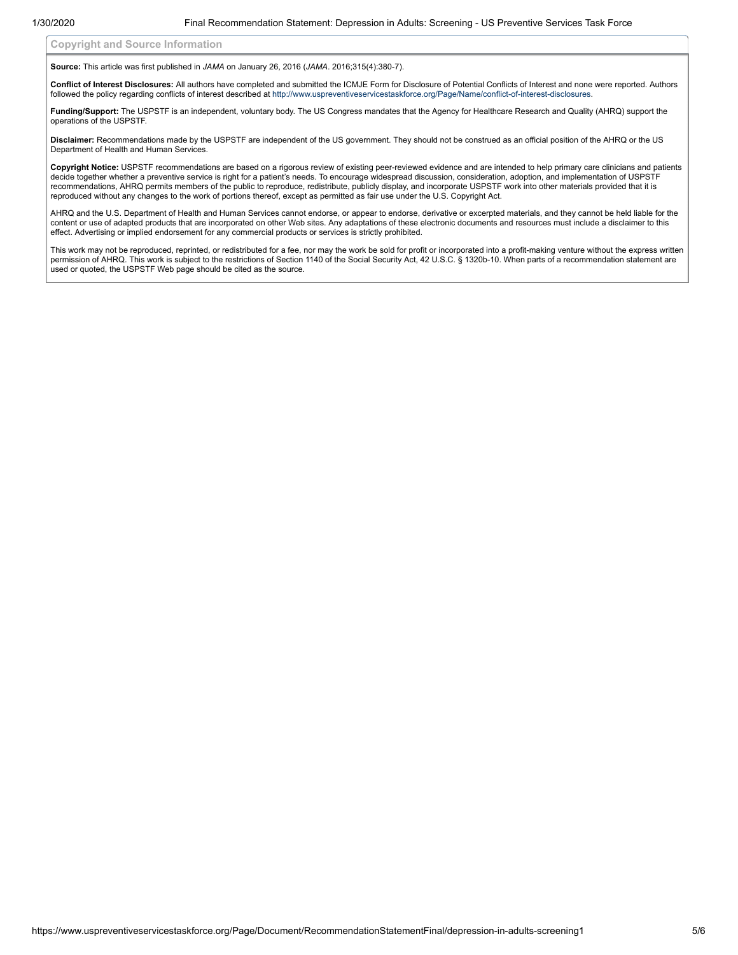<span id="page-4-0"></span>**Copyright and Source Information**

**Source:** This article was first published in *JAMA* on January 26, 2016 (*JAMA*. 2016;315(4):380-7).

**Conflict of Interest Disclosures:** All authors have completed and submitted the ICMJE Form for Disclosure of Potential Conflicts of Interest and none were reported. Authors followed the policy regarding conflicts of interest described at [http://www.uspreventiveservicestaskforce.org/Page/Name/conflict-of-interest-disclosures](https://www.uspreventiveservicestaskforce.org/Page/Name/conflict-of-interest-disclosures).

Funding/Support: The USPSTF is an independent, voluntary body. The US Congress mandates that the Agency for Healthcare Research and Quality (AHRQ) support the operations of the USPSTF.

**Disclaimer:** Recommendations made by the USPSTF are independent of the US government. They should not be construed as an official position of the AHRQ or the US Department of Health and Human Services.

**Copyright Notice:** USPSTF recommendations are based on a rigorous review of existing peer-reviewed evidence and are intended to help primary care clinicians and patients decide together whether a preventive service is right for a patient's needs. To encourage widespread discussion, consideration, adoption, and implementation of USPSTF recommendations, AHRQ permits members of the public to reproduce, redistribute, publicly display, and incorporate USPSTF work into other materials provided that it is reproduced without any changes to the work of portions thereof, except as permitted as fair use under the U.S. Copyright Act.

AHRQ and the U.S. Department of Health and Human Services cannot endorse, or appear to endorse, derivative or excerpted materials, and they cannot be held liable for the content or use of adapted products that are incorporated on other Web sites. Any adaptations of these electronic documents and resources must include a disclaimer to this effect. Advertising or implied endorsement for any commercial products or services is strictly prohibited.

This work may not be reproduced, reprinted, or redistributed for a fee, nor may the work be sold for profit or incorporated into a profit-making venture without the express written permission of AHRQ. This work is subject to the restrictions of Section 1140 of the Social Security Act, 42 U.S.C. § 1320b-10. When parts of a recommendation statement are used or quoted, the USPSTF Web page should be cited as the source.